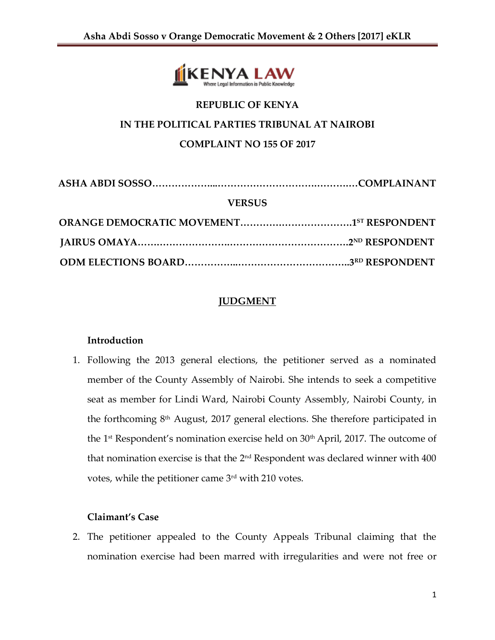

# **REPUBLIC OF KENYA IN THE POLITICAL PARTIES TRIBUNAL AT NAIROBI COMPLAINT NO 155 OF 2017**

| <b>VERSUS</b> |  |
|---------------|--|
|               |  |
|               |  |
|               |  |

## **JUDGMENT**

## **Introduction**

1. Following the 2013 general elections, the petitioner served as a nominated member of the County Assembly of Nairobi. She intends to seek a competitive seat as member for Lindi Ward, Nairobi County Assembly, Nairobi County, in the forthcoming 8th August, 2017 general elections. She therefore participated in the 1<sup>st</sup> Respondent's nomination exercise held on  $30<sup>th</sup>$  April, 2017. The outcome of that nomination exercise is that the 2 $^{\rm nd}$  Respondent was declared winner with 400  $^{\rm d}$ votes, while the petitioner came 3rd with 210 votes.

## **Claimant's Case**

2. The petitioner appealed to the County Appeals Tribunal claiming that the nomination exercise had been marred with irregularities and were not free or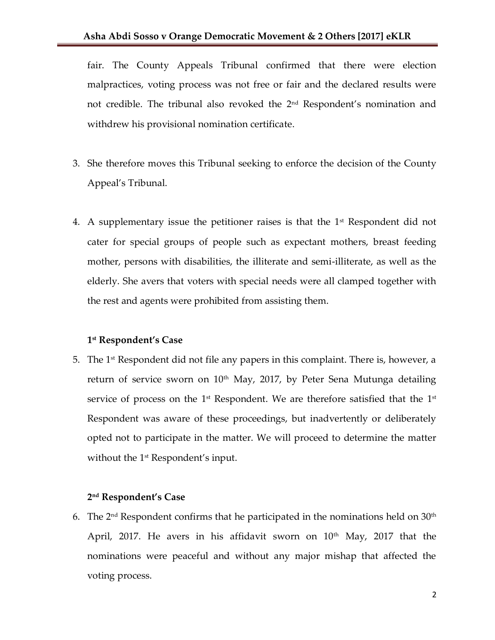fair. The County Appeals Tribunal confirmed that there were election malpractices, voting process was not free or fair and the declared results were not credible. The tribunal also revoked the 2<sup>nd</sup> Respondent's nomination and withdrew his provisional nomination certificate.

- 3. She therefore moves this Tribunal seeking to enforce the decision of the County Appeal's Tribunal.
- 4. A supplementary issue the petitioner raises is that the  $1<sup>st</sup>$  Respondent did not cater for special groups of people such as expectant mothers, breast feeding mother, persons with disabilities, the illiterate and semi-illiterate, as well as the elderly. She avers that voters with special needs were all clamped together with the rest and agents were prohibited from assisting them.

### **1 st Respondent's Case**

5. The 1st Respondent did not file any papers in this complaint. There is, however, a return of service sworn on  $10<sup>th</sup>$  May, 2017, by Peter Sena Mutunga detailing service of process on the 1st Respondent. We are therefore satisfied that the 1st  $\mathbf{I}$ Respondent was aware of these proceedings, but inadvertently or deliberately opted not to participate in the matter. We will proceed to determine the matter without the 1<sup>st</sup> Respondent's input.

#### **2 nd Respondent's Case**

6. The 2 $^{\rm nd}$  Respondent confirms that he participated in the nominations held on 30 $^{\rm th}$ April, 2017. He avers in his affidavit sworn on  $10<sup>th</sup>$  May, 2017 that the nominations were peaceful and without any major mishap that affected the voting process.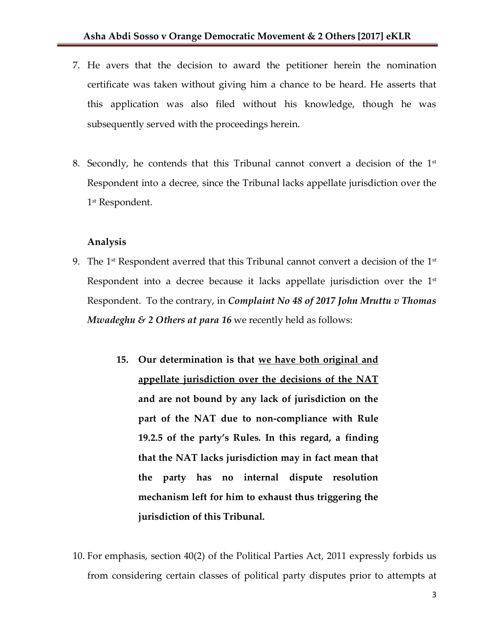- 7. He avers that the decision to award the petitioner herein the nomination certificate was taken without giving him a chance to be heard. He asserts that this application was also filed without his knowledge, though he was subsequently served with the proceedings herein.
- 8. Secondly, he contends that this Tribunal cannot convert a decision of the  $1<sup>st</sup>$ Respondent into a decree, since the Tribunal lacks appellate jurisdiction over the 1 st Respondent.

### **Analysis**

- 9. The 1st Respondent averred that this Tribunal cannot convert a decision of the 1st  $\,$ Respondent into a decree because it lacks appellate jurisdiction over the  $1<sup>st</sup>$ Respondent. To the contrary, in *Complaint No 48 of 2017 John Mruttu v Thomas Mwadeghu & 2 Others at para 16* we recently held as follows:
	- **15. Our determination is that we have both original and appellate jurisdiction over the decisions of the NAT and are not bound by any lack of jurisdiction on the part of the NAT due to non-compliance with Rule 19.2.5 of the party's Rules. In this regard, a finding that the NAT lacks jurisdiction may in fact mean that the party has no internal dispute resolution mechanism left for him to exhaust thus triggering the jurisdiction of this Tribunal.**
- 10. For emphasis, section 40(2) of the Political Parties Act, 2011 expressly forbids us from considering certain classes of political party disputes prior to attempts at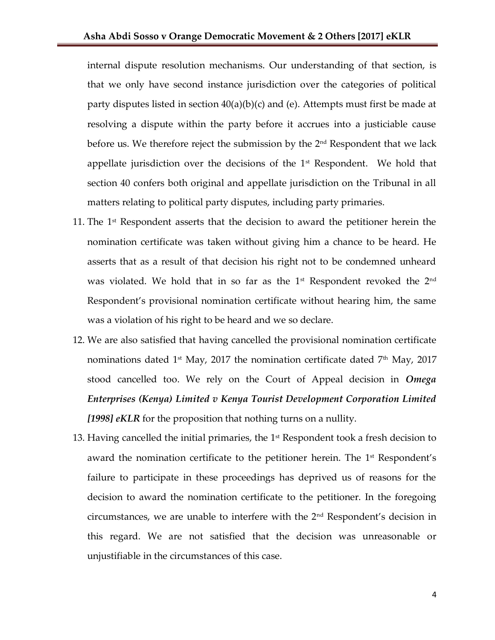internal dispute resolution mechanisms. Our understanding of that section, is that we only have second instance jurisdiction over the categories of political party disputes listed in section 40(a)(b)(c) and (e). Attempts must first be made at resolving a dispute within the party before it accrues into a justiciable cause before us. We therefore reject the submission by the 2<sup>nd</sup> Respondent that we lack appellate jurisdiction over the decisions of the  $1<sup>st</sup>$  Respondent. We hold that section 40 confers both original and appellate jurisdiction on the Tribunal in all matters relating to political party disputes, including party primaries.

- 11. The  $1<sup>st</sup>$  Respondent asserts that the decision to award the petitioner herein the nomination certificate was taken without giving him a chance to be heard. He asserts that as a result of that decision his right not to be condemned unheard was violated. We hold that in so far as the  $1<sup>st</sup>$  Respondent revoked the  $2<sup>nd</sup>$ Respondent's provisional nomination certificate without hearing him, the same was a violation of his right to be heard and we so declare.
- 12. We are also satisfied that having cancelled the provisional nomination certificate nominations dated 1<sup>st</sup> May, 2017 the nomination certificate dated  $7<sup>th</sup>$  May, 2017 stood cancelled too. We rely on the Court of Appeal decision in *Omega Enterprises (Kenya) Limited v Kenya Tourist Development Corporation Limited [1998] eKLR* for the proposition that nothing turns on a nullity.
- 13. Having cancelled the initial primaries, the  $1<sup>st</sup>$  Respondent took a fresh decision to award the nomination certificate to the petitioner herein. The 1<sup>st</sup> Respondent's failure to participate in these proceedings has deprived us of reasons for the decision to award the nomination certificate to the petitioner. In the foregoing circumstances, we are unable to interfere with the  $2<sup>nd</sup>$  Respondent's decision in this regard. We are not satisfied that the decision was unreasonable or unjustifiable in the circumstances of this case.